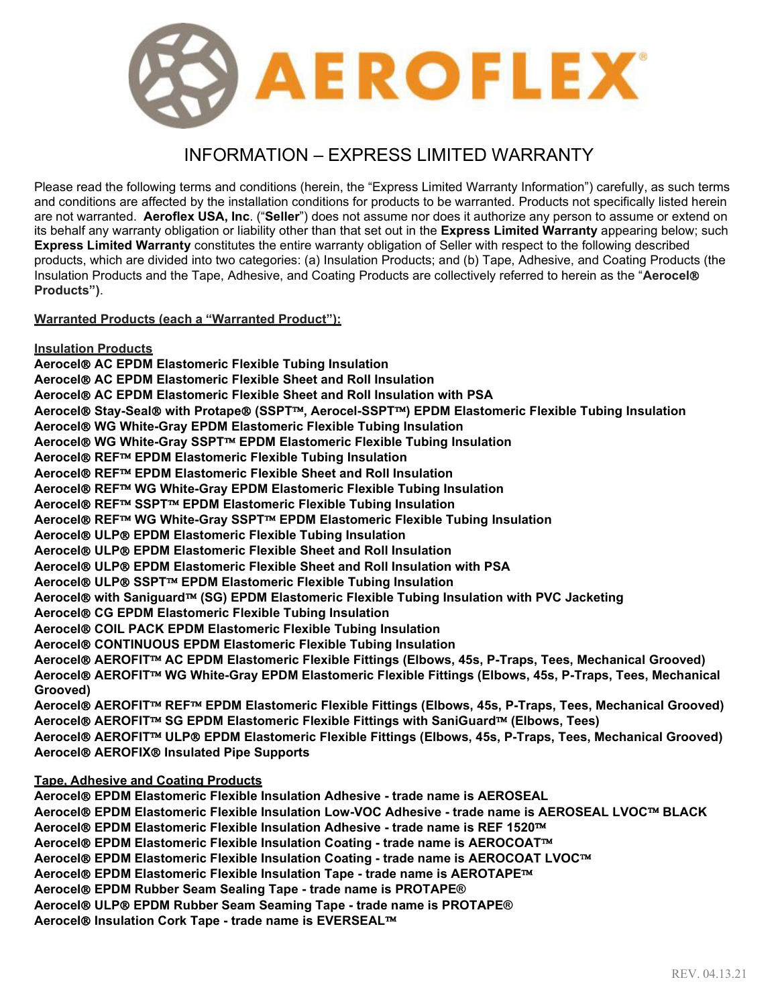

# INFORMATION – EXPRESS LIMITED WARRANTY

Please read the following terms and conditions (herein, the "Express Limited Warranty Information") carefully, as such terms and conditions are affected by the installation conditions for products to be warranted. Products not specifically listed herein are not warranted. **Aeroflex USA, Inc**. ("**Seller**") does not assume nor does it authorize any person to assume or extend on its behalf any warranty obligation or liability other than that set out in the **Express Limited Warranty** appearing below; such **Express Limited Warranty** constitutes the entire warranty obligation of Seller with respect to the following described products, which are divided into two categories: (a) Insulation Products; and (b) Tape, Adhesive, and Coating Products (the Insulation Products and the Tape, Adhesive, and Coating Products are collectively referred to herein as the "**Aerocel Products")**.

**Warranted Products (each a "Warranted Product"):**

**Insulation Products**

**Aerocel AC EPDM Elastomeric Flexible Tubing Insulation**

**Aerocel AC EPDM Elastomeric Flexible Sheet and Roll Insulation**

**Aerocel AC EPDM Elastomeric Flexible Sheet and Roll Insulation with PSA**

**Aerocel Stay-Seal with Protape (SSPT, Aerocel-SSPT) EPDM Elastomeric Flexible Tubing Insulation**

**Aerocel WG White-Gray EPDM Elastomeric Flexible Tubing Insulation**

**Aerocel WG White-Gray SSPT EPDM Elastomeric Flexible Tubing Insulation**

**Aerocel REF EPDM Elastomeric Flexible Tubing Insulation**

**Aerocel REF EPDM Elastomeric Flexible Sheet and Roll Insulation**

**Aerocel REF WG White-Gray EPDM Elastomeric Flexible Tubing Insulation**

**Aerocel<sup>®</sup> REF<sup>™</sup> SSPT<sup>™</sup> EPDM Elastomeric Flexible Tubing Insulation** 

**Aerocel REF WG White-Gray SSPT EPDM Elastomeric Flexible Tubing Insulation**

**Aerocel ULP EPDM Elastomeric Flexible Tubing Insulation**

**Aerocel ULP EPDM Elastomeric Flexible Sheet and Roll Insulation**

**Aerocel ULP EPDM Elastomeric Flexible Sheet and Roll Insulation with PSA**

**Aerocel<sup>®</sup> ULP<sup>®</sup> SSPT™ EPDM Elastomeric Flexible Tubing Insulation** 

**Aerocel with Saniguard (SG) EPDM Elastomeric Flexible Tubing Insulation with PVC Jacketing**

**Aerocel CG EPDM Elastomeric Flexible Tubing Insulation**

**Aerocel COIL PACK EPDM Elastomeric Flexible Tubing Insulation**

**Aerocel CONTINUOUS EPDM Elastomeric Flexible Tubing Insulation**

**Aerocel AEROFIT AC EPDM Elastomeric Flexible Fittings (Elbows, 45s, P-Traps, Tees, Mechanical Grooved)**

**Aerocel AEROFIT WG White-Gray EPDM Elastomeric Flexible Fittings (Elbows, 45s, P-Traps, Tees, Mechanical Grooved)**

**Aerocel AEROFIT REF EPDM Elastomeric Flexible Fittings (Elbows, 45s, P-Traps, Tees, Mechanical Grooved) Aerocel AEROFIT SG EPDM Elastomeric Flexible Fittings with SaniGuard (Elbows, Tees)**

**Aerocel AEROFIT ULP EPDM Elastomeric Flexible Fittings (Elbows, 45s, P-Traps, Tees, Mechanical Grooved) Aerocel AEROFIX Insulated Pipe Supports**

## **Tape, Adhesive and Coating Products**

**Aerocel EPDM Elastomeric Flexible Insulation Adhesive - trade name is AEROSEAL Aerocel EPDM Elastomeric Flexible Insulation Low-VOC Adhesive - trade name is AEROSEAL LVOC BLACK Aerocel EPDM Elastomeric Flexible Insulation Adhesive - trade name is REF 1520 Aerocel EPDM Elastomeric Flexible Insulation Coating - trade name is AEROCOAT Aerocel EPDM Elastomeric Flexible Insulation Coating - trade name is AEROCOAT LVOC Aerocel EPDM Elastomeric Flexible Insulation Tape - trade name is AEROTAPE Aerocel EPDM Rubber Seam Sealing Tape - trade name is PROTAPE®**

**Aerocel ULP EPDM Rubber Seam Seaming Tape - trade name is PROTAPE®**

**Aerocel<sup>®</sup> Insulation Cork Tape - trade name is EVERSEAL<sup>™</sup>**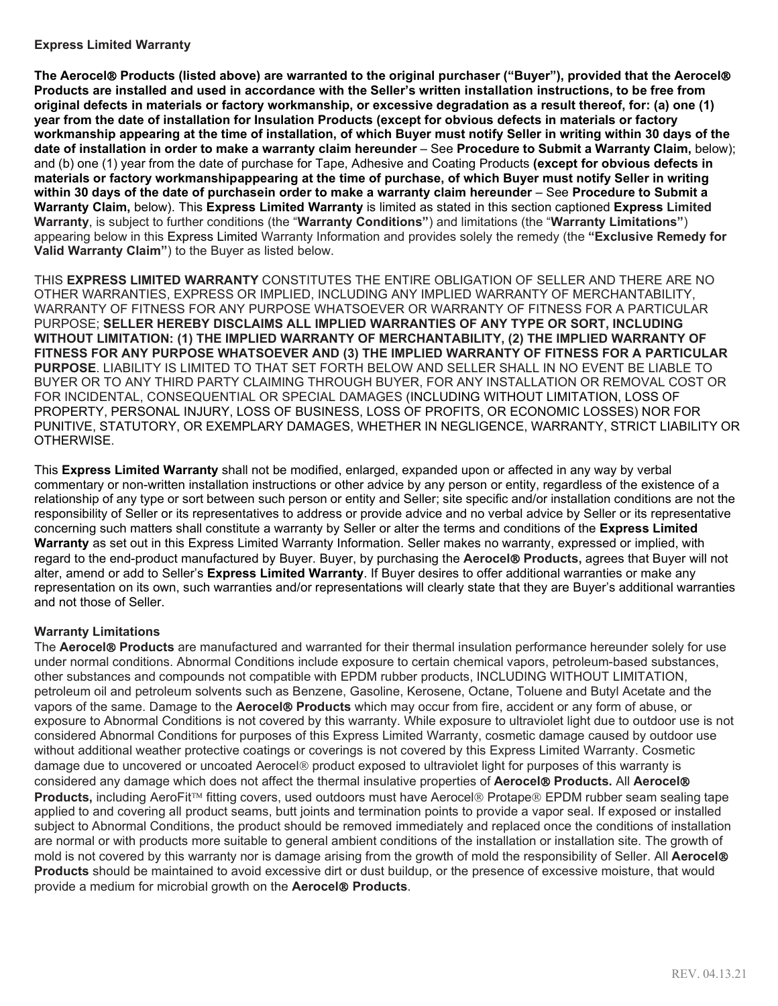#### **Express Limited Warranty**

**The Aerocel Products (listed above) are warranted to the original purchaser ("Buyer"), provided that the Aerocel Products are installed and used in accordance with the Seller's written installation instructions, to be free from original defects in materials or factory workmanship, or excessive degradation as a result thereof, for: (a) one (1) year from the date of installation for Insulation Products (except for obvious defects in materials or factory workmanship appearing at the time of installation, of which Buyer must notify Seller in writing within 30 days of the date of installation in order to make a warranty claim hereunder** – See **Procedure to Submit a Warranty Claim,** below); and (b) one (1) year from the date of purchase for Tape, Adhesive and Coating Products **(except for obvious defects in materials or factory workmanshipappearing at the time of purchase, of which Buyer must notify Seller in writing within 30 days of the date of purchasein order to make a warranty claim hereunder** – See **Procedure to Submit a Warranty Claim,** below). This **Express Limited Warranty** is limited as stated in this section captioned **Express Limited Warranty**, is subject to further conditions (the "**Warranty Conditions"**) and limitations (the "**Warranty Limitations"**) appearing below in this Express Limited Warranty Information and provides solely the remedy (the **"Exclusive Remedy for Valid Warranty Claim"**) to the Buyer as listed below.

THIS **EXPRESS LIMITED WARRANTY** CONSTITUTES THE ENTIRE OBLIGATION OF SELLER AND THERE ARE NO OTHER WARRANTIES, EXPRESS OR IMPLIED, INCLUDING ANY IMPLIED WARRANTY OF MERCHANTABILITY, WARRANTY OF FITNESS FOR ANY PURPOSE WHATSOEVER OR WARRANTY OF FITNESS FOR A PARTICULAR PURPOSE; **SELLER HEREBY DISCLAIMS ALL IMPLIED WARRANTIES OF ANY TYPE OR SORT, INCLUDING WITHOUT LIMITATION: (1) THE IMPLIED WARRANTY OF MERCHANTABILITY, (2) THE IMPLIED WARRANTY OF FITNESS FOR ANY PURPOSE WHATSOEVER AND (3) THE IMPLIED WARRANTY OF FITNESS FOR A PARTICULAR PURPOSE**. LIABILITY IS LIMITED TO THAT SET FORTH BELOW AND SELLER SHALL IN NO EVENT BE LIABLE TO BUYER OR TO ANY THIRD PARTY CLAIMING THROUGH BUYER, FOR ANY INSTALLATION OR REMOVAL COST OR FOR INCIDENTAL, CONSEQUENTIAL OR SPECIAL DAMAGES (INCLUDING WITHOUT LIMITATION, LOSS OF PROPERTY, PERSONAL INJURY, LOSS OF BUSINESS, LOSS OF PROFITS, OR ECONOMIC LOSSES) NOR FOR PUNITIVE, STATUTORY, OR EXEMPLARY DAMAGES, WHETHER IN NEGLIGENCE, WARRANTY, STRICT LIABILITY OR OTHERWISE.

This **Express Limited Warranty** shall not be modified, enlarged, expanded upon or affected in any way by verbal commentary or non-written installation instructions or other advice by any person or entity, regardless of the existence of a relationship of any type or sort between such person or entity and Seller; site specific and/or installation conditions are not the responsibility of Seller or its representatives to address or provide advice and no verbal advice by Seller or its representative concerning such matters shall constitute a warranty by Seller or alter the terms and conditions of the **Express Limited Warranty** as set out in this Express Limited Warranty Information. Seller makes no warranty, expressed or implied, with regard to the end-product manufactured by Buyer. Buyer, by purchasing the **Aerocel Products,** agrees that Buyer will not alter, amend or add to Seller's **Express Limited Warranty**. If Buyer desires to offer additional warranties or make any representation on its own, such warranties and/or representations will clearly state that they are Buyer's additional warranties and not those of Seller.

## **Warranty Limitations**

The **Aerocel Products** are manufactured and warranted for their thermal insulation performance hereunder solely for use under normal conditions. Abnormal Conditions include exposure to certain chemical vapors, petroleum-based substances, other substances and compounds not compatible with EPDM rubber products, INCLUDING WITHOUT LIMITATION, petroleum oil and petroleum solvents such as Benzene, Gasoline, Kerosene, Octane, Toluene and Butyl Acetate and the vapors of the same. Damage to the Aerocel® Products which may occur from fire, accident or any form of abuse, or exposure to Abnormal Conditions is not covered by this warranty. While exposure to ultraviolet light due to outdoor use is not considered Abnormal Conditions for purposes of this Express Limited Warranty, cosmetic damage caused by outdoor use without additional weather protective coatings or coverings is not covered by this Express Limited Warranty. Cosmetic damage due to uncovered or uncoated Aerocel® product exposed to ultraviolet light for purposes of this warranty is considered any damage which does not affect the thermal insulative properties of **Aerocel Products.** All **Aerocel Products,** including AeroFit™ fitting covers, used outdoors must have Aerocel® Protape® EPDM rubber seam sealing tape applied to and covering all product seams, butt joints and termination points to provide a vapor seal. If exposed or installed subject to Abnormal Conditions, the product should be removed immediately and replaced once the conditions of installation are normal or with products more suitable to general ambient conditions of the installation or installation site. The growth of mold is not covered by this warranty nor is damage arising from the growth of mold the responsibility of Seller. All **Aerocel Products** should be maintained to avoid excessive dirt or dust buildup, or the presence of excessive moisture, that would provide a medium for microbial growth on the **Aerocel Products**.